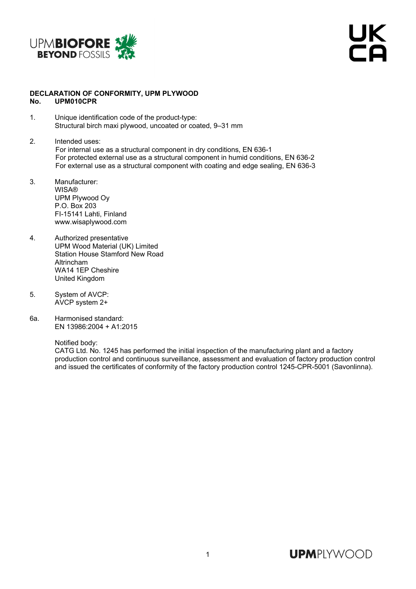

UK<br>Ta

## **DECLARATION OF CONFORMITY, UPM PLYWOOD No. UPM010CPR**

- 1. Unique identification code of the product-type: Structural birch maxi plywood, uncoated or coated, 9–31 mm
- 2. Intended uses: For internal use as a structural component in dry conditions, EN 636-1 For protected external use as a structural component in humid conditions, EN 636-2 For external use as a structural component with coating and edge sealing, EN 636-3
- 3. Manufacturer: WISA® UPM Plywood Oy P.O. Box 203 FI-15141 Lahti, Finland www.wisaplywood.com
- 4. Authorized presentative UPM Wood Material (UK) Limited Station House Stamford New Road Altrincham WA14 1EP Cheshire United Kingdom
- 5. System of AVCP: AVCP system 2+
- 6a. Harmonised standard: EN 13986:2004 + A1:2015

Notified body:

 CATG Ltd. No. 1245 has performed the initial inspection of the manufacturing plant and a factory production control and continuous surveillance, assessment and evaluation of factory production control and issued the certificates of conformity of the factory production control 1245-CPR-5001 (Savonlinna).

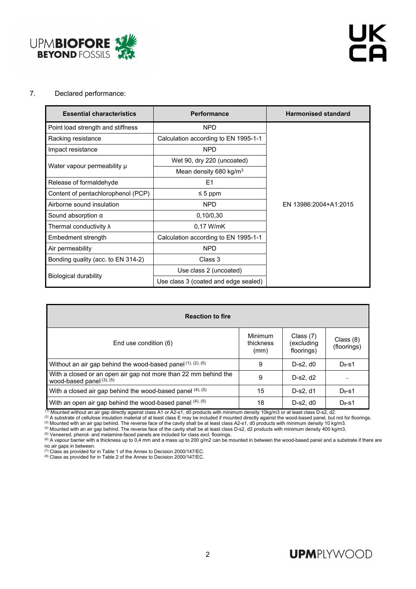

## 7. Declared performance:

| <b>Essential characteristics</b>   | <b>Performance</b>                   | <b>Harmonised standard</b> |  |  |  |
|------------------------------------|--------------------------------------|----------------------------|--|--|--|
| Point load strength and stiffness  | <b>NPD</b>                           |                            |  |  |  |
| Racking resistance                 | Calculation according to EN 1995-1-1 |                            |  |  |  |
| Impact resistance                  | <b>NPD</b>                           |                            |  |  |  |
|                                    | Wet 90, dry 220 (uncoated)           |                            |  |  |  |
| Water vapour permeability µ        | Mean density 680 kg/m <sup>3</sup>   |                            |  |  |  |
| Release of formaldehyde            | E <sub>1</sub>                       |                            |  |  |  |
| Content of pentachlorophenol (PCP) | $\leq 5$ ppm                         |                            |  |  |  |
| Airborne sound insulation          | <b>NPD</b>                           | EN 13986:2004+A1:2015      |  |  |  |
| Sound absorption $\alpha$          | 0,10/0,30                            |                            |  |  |  |
| Thermal conductivity $\lambda$     | 0.17 W/mK                            |                            |  |  |  |
| Embedment strength                 | Calculation according to EN 1995-1-1 |                            |  |  |  |
| Air permeability                   | <b>NPD</b>                           |                            |  |  |  |
| Bonding quality (acc. to EN 314-2) | Class 3                              |                            |  |  |  |
|                                    | Use class 2 (uncoated)               |                            |  |  |  |
| Biological durability              | Use class 3 (coated and edge sealed) |                            |  |  |  |

| <b>Reaction to fire</b>                                                                           |                                     |                                         |                          |  |  |  |  |  |  |
|---------------------------------------------------------------------------------------------------|-------------------------------------|-----------------------------------------|--------------------------|--|--|--|--|--|--|
| End use condition (6)                                                                             | <b>Minimum</b><br>thickness<br>(mm) | Class $(7)$<br>excluding)<br>floorings) | Class (8)<br>(floorings) |  |  |  |  |  |  |
| Without an air gap behind the wood-based panel $(1)$ , $(2)$ , $(5)$                              | 9                                   | $D-s2. d0$                              | $D_{fi-S}1$              |  |  |  |  |  |  |
| With a closed or an open air gap not more than 22 mm behind the<br>wood-based panel $(3)$ , $(5)$ | 9                                   | D-s2, d2                                |                          |  |  |  |  |  |  |
| With a closed air gap behind the wood-based panel (4), (5)                                        | 15                                  | D-s2, d1                                | $D_{fl}$ -s1             |  |  |  |  |  |  |
| With an open air gap behind the wood-based panel (4), (5)                                         | 18                                  | $D-s2. d0$                              | $D_{fl}$ -s1             |  |  |  |  |  |  |

<sup>(1)</sup> Mounted without an air gap directly against class A1 or A2-s1, d0 products with minimum density 10kg/m3 or at least class D-s2, d2.<br>
<sup>(2)</sup> A substrate of cellulose insulation material of at least class E may be incl

no air gaps in between.<br>
The discussion of the Annex to Decision 2000/147/EC.<br>
<sup>(7)</sup> Class as provided for in Table 1 of the Annex to Decision 2000/147/EC.

(7) Class as provided for in Table 1 of the Annex to Decision 2000/147/EC. (8) Class as provided for in Table 2 of the Annex to Decision 2000/147/EC.